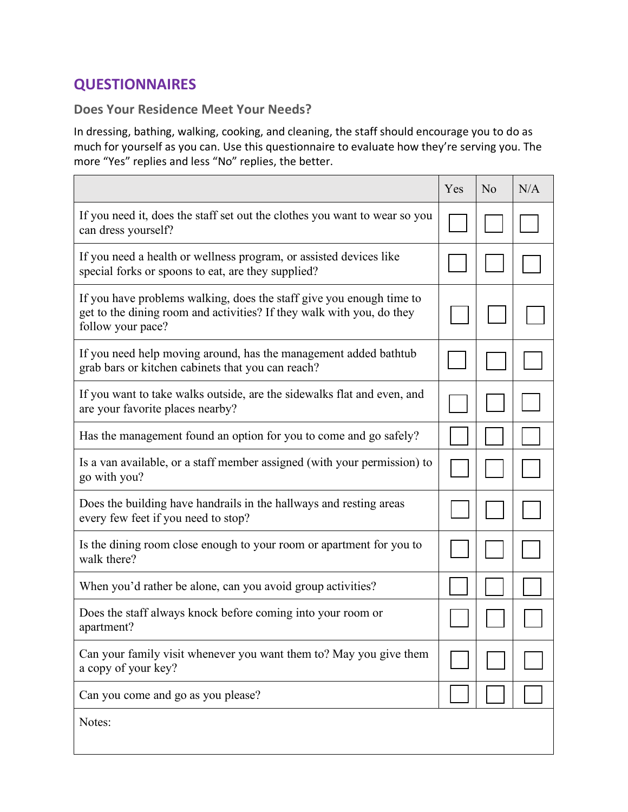# **QUESTIONNAIRES**

#### **Does Your Residence Meet Your Needs?**

In dressing, bathing, walking, cooking, and cleaning, the staff should encourage you to do as much for yourself as you can. Use this questionnaire to evaluate how they're serving you. The more "Yes" replies and less "No" replies, the better.

|                                                                                                                                                                    | Yes | N <sub>o</sub> | N/A |
|--------------------------------------------------------------------------------------------------------------------------------------------------------------------|-----|----------------|-----|
| If you need it, does the staff set out the clothes you want to wear so you<br>can dress yourself?                                                                  |     |                |     |
| If you need a health or wellness program, or assisted devices like<br>special forks or spoons to eat, are they supplied?                                           |     |                |     |
| If you have problems walking, does the staff give you enough time to<br>get to the dining room and activities? If they walk with you, do they<br>follow your pace? |     |                |     |
| If you need help moving around, has the management added bathtub<br>grab bars or kitchen cabinets that you can reach?                                              |     |                |     |
| If you want to take walks outside, are the sidewalks flat and even, and<br>are your favorite places nearby?                                                        |     |                |     |
| Has the management found an option for you to come and go safely?                                                                                                  |     |                |     |
| Is a van available, or a staff member assigned (with your permission) to<br>go with you?                                                                           |     |                |     |
| Does the building have handrails in the hallways and resting areas<br>every few feet if you need to stop?                                                          |     |                |     |
| Is the dining room close enough to your room or apartment for you to<br>walk there?                                                                                |     |                |     |
| When you'd rather be alone, can you avoid group activities?                                                                                                        |     |                |     |
| Does the staff always knock before coming into your room or<br>apartment?                                                                                          |     |                |     |
| Can your family visit whenever you want them to? May you give them<br>a copy of your key?                                                                          |     |                |     |
| Can you come and go as you please?                                                                                                                                 |     |                |     |
| Notes:                                                                                                                                                             |     |                |     |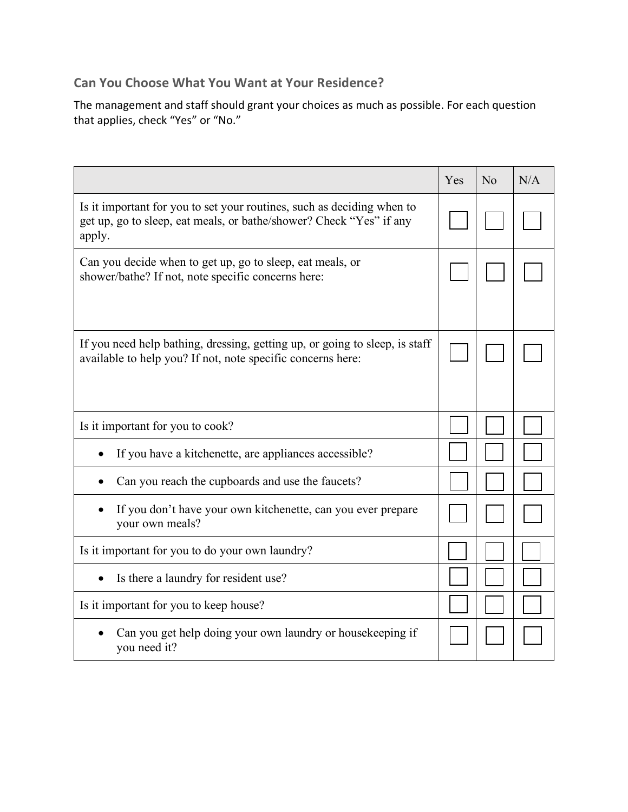#### **Can You Choose What You Want at Your Residence?**

The management and staff should grant your choices as much as possible. For each question that applies, check "Yes" or "No."

|                                                                                                                                                         | Yes | N <sub>o</sub> | N/A |
|---------------------------------------------------------------------------------------------------------------------------------------------------------|-----|----------------|-----|
| Is it important for you to set your routines, such as deciding when to<br>get up, go to sleep, eat meals, or bathe/shower? Check "Yes" if any<br>apply. |     |                |     |
| Can you decide when to get up, go to sleep, eat meals, or<br>shower/bathe? If not, note specific concerns here:                                         |     |                |     |
| If you need help bathing, dressing, getting up, or going to sleep, is staff<br>available to help you? If not, note specific concerns here:              |     |                |     |
| Is it important for you to cook?                                                                                                                        |     |                |     |
| If you have a kitchenette, are appliances accessible?                                                                                                   |     |                |     |
| Can you reach the cupboards and use the faucets?                                                                                                        |     |                |     |
| If you don't have your own kitchenette, can you ever prepare<br>your own meals?                                                                         |     |                |     |
| Is it important for you to do your own laundry?                                                                                                         |     |                |     |
| Is there a laundry for resident use?                                                                                                                    |     |                |     |
| Is it important for you to keep house?                                                                                                                  |     |                |     |
| Can you get help doing your own laundry or housekeeping if<br>you need it?                                                                              |     |                |     |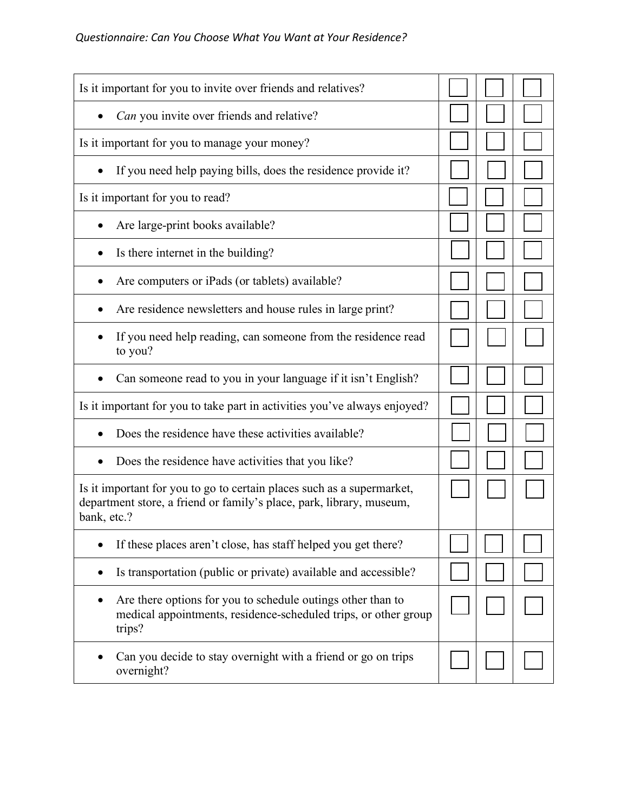| Is it important for you to invite over friends and relatives?                                                                                                 |  |  |
|---------------------------------------------------------------------------------------------------------------------------------------------------------------|--|--|
| Can you invite over friends and relative?                                                                                                                     |  |  |
| Is it important for you to manage your money?                                                                                                                 |  |  |
| If you need help paying bills, does the residence provide it?                                                                                                 |  |  |
| Is it important for you to read?                                                                                                                              |  |  |
| Are large-print books available?                                                                                                                              |  |  |
| Is there internet in the building?                                                                                                                            |  |  |
| Are computers or iPads (or tablets) available?                                                                                                                |  |  |
| Are residence newsletters and house rules in large print?                                                                                                     |  |  |
| If you need help reading, can someone from the residence read<br>to you?                                                                                      |  |  |
| Can someone read to you in your language if it isn't English?                                                                                                 |  |  |
| Is it important for you to take part in activities you've always enjoyed?                                                                                     |  |  |
| Does the residence have these activities available?                                                                                                           |  |  |
| Does the residence have activities that you like?                                                                                                             |  |  |
| Is it important for you to go to certain places such as a supermarket,<br>department store, a friend or family's place, park, library, museum,<br>bank, etc.? |  |  |
| If these places aren't close, has staff helped you get there?                                                                                                 |  |  |
| Is transportation (public or private) available and accessible?                                                                                               |  |  |
| Are there options for you to schedule outings other than to<br>$\bullet$<br>medical appointments, residence-scheduled trips, or other group<br>trips?         |  |  |
| Can you decide to stay overnight with a friend or go on trips<br>overnight?                                                                                   |  |  |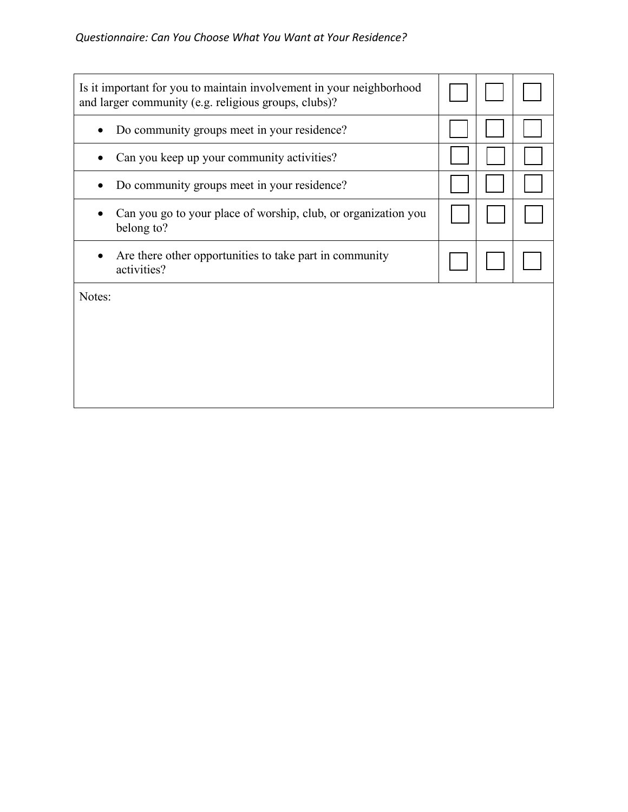| Is it important for you to maintain involvement in your neighborhood<br>and larger community (e.g. religious groups, clubs)? |  |  |
|------------------------------------------------------------------------------------------------------------------------------|--|--|
| Do community groups meet in your residence?                                                                                  |  |  |
| Can you keep up your community activities?                                                                                   |  |  |
| Do community groups meet in your residence?                                                                                  |  |  |
| Can you go to your place of worship, club, or organization you<br>belong to?                                                 |  |  |
| Are there other opportunities to take part in community<br>activities?                                                       |  |  |
| Notes:                                                                                                                       |  |  |
|                                                                                                                              |  |  |
|                                                                                                                              |  |  |
|                                                                                                                              |  |  |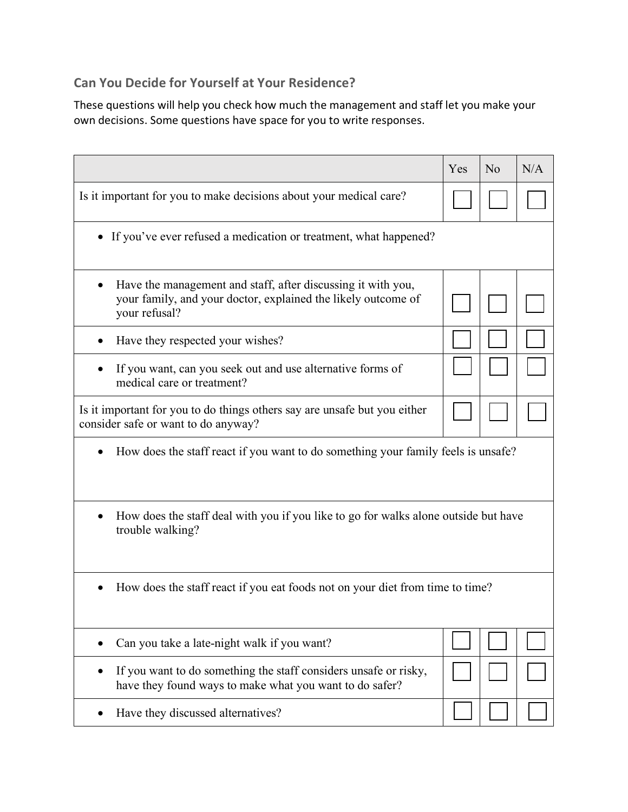### **Can You Decide for Yourself at Your Residence?**

These questions will help you check how much the management and staff let you make your own decisions. Some questions have space for you to write responses.

|                                                                                                                                                             | Yes | N <sub>o</sub> | N/A |
|-------------------------------------------------------------------------------------------------------------------------------------------------------------|-----|----------------|-----|
| Is it important for you to make decisions about your medical care?                                                                                          |     |                |     |
| • If you've ever refused a medication or treatment, what happened?                                                                                          |     |                |     |
| Have the management and staff, after discussing it with you,<br>$\bullet$<br>your family, and your doctor, explained the likely outcome of<br>your refusal? |     |                |     |
| Have they respected your wishes?                                                                                                                            |     |                |     |
| If you want, can you seek out and use alternative forms of<br>medical care or treatment?                                                                    |     |                |     |
| Is it important for you to do things others say are unsafe but you either<br>consider safe or want to do anyway?                                            |     |                |     |
| How does the staff react if you want to do something your family feels is unsafe?                                                                           |     |                |     |
| How does the staff deal with you if you like to go for walks alone outside but have<br>trouble walking?                                                     |     |                |     |
| How does the staff react if you eat foods not on your diet from time to time?<br>$\bullet$                                                                  |     |                |     |
| Can you take a late-night walk if you want?                                                                                                                 |     |                |     |
| If you want to do something the staff considers unsafe or risky,<br>have they found ways to make what you want to do safer?                                 |     |                |     |
| Have they discussed alternatives?                                                                                                                           |     |                |     |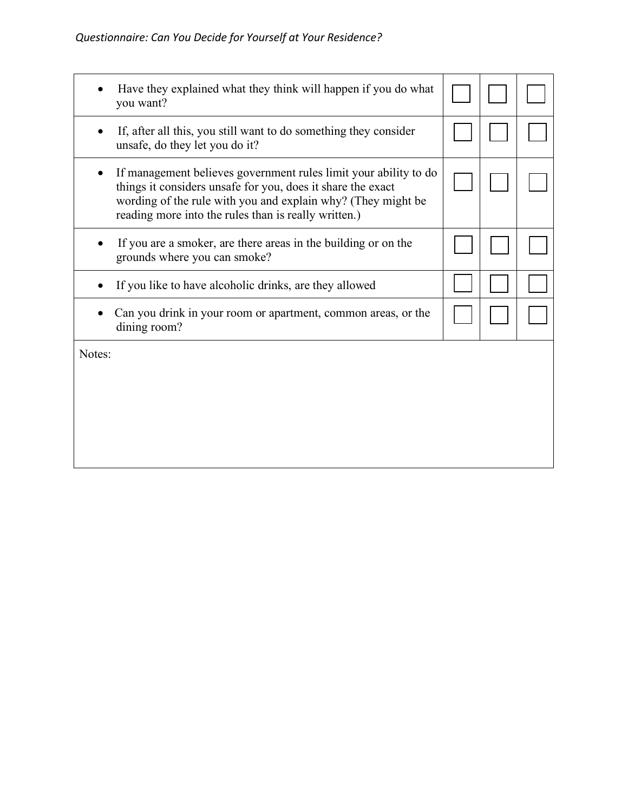|        | Have they explained what they think will happen if you do what<br>you want?                                                                                                                                                                             |  |  |
|--------|---------------------------------------------------------------------------------------------------------------------------------------------------------------------------------------------------------------------------------------------------------|--|--|
|        | If, after all this, you still want to do something they consider<br>unsafe, do they let you do it?                                                                                                                                                      |  |  |
|        | If management believes government rules limit your ability to do<br>things it considers unsafe for you, does it share the exact<br>wording of the rule with you and explain why? (They might be<br>reading more into the rules than is really written.) |  |  |
|        | If you are a smoker, are there areas in the building or on the<br>grounds where you can smoke?                                                                                                                                                          |  |  |
|        | If you like to have alcoholic drinks, are they allowed                                                                                                                                                                                                  |  |  |
|        | Can you drink in your room or apartment, common areas, or the<br>dining room?                                                                                                                                                                           |  |  |
| Notes: |                                                                                                                                                                                                                                                         |  |  |
|        |                                                                                                                                                                                                                                                         |  |  |
|        |                                                                                                                                                                                                                                                         |  |  |
|        |                                                                                                                                                                                                                                                         |  |  |
|        |                                                                                                                                                                                                                                                         |  |  |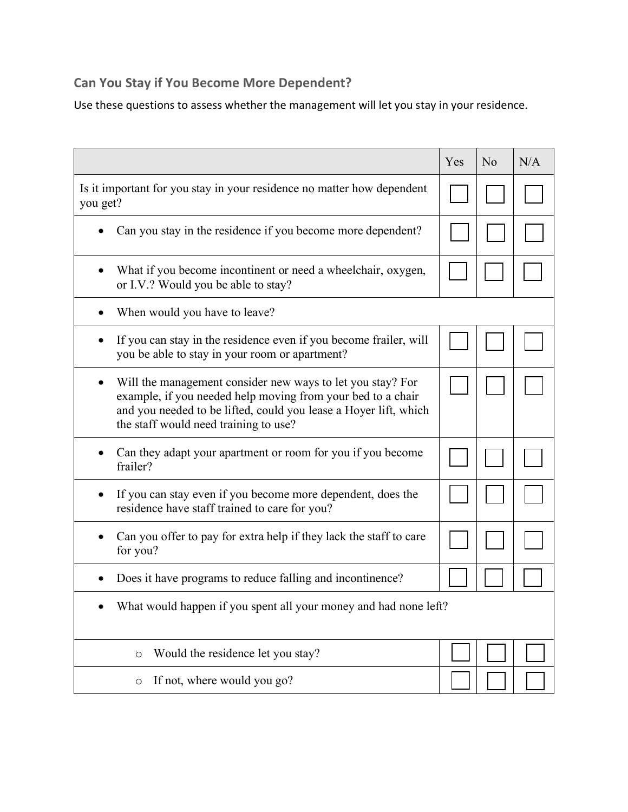## **Can You Stay if You Become More Dependent?**

Use these questions to assess whether the management will let you stay in your residence.

|                                                                                                                                                                                                                                             | Yes | N <sub>o</sub> | N/A |
|---------------------------------------------------------------------------------------------------------------------------------------------------------------------------------------------------------------------------------------------|-----|----------------|-----|
| Is it important for you stay in your residence no matter how dependent<br>you get?                                                                                                                                                          |     |                |     |
| Can you stay in the residence if you become more dependent?                                                                                                                                                                                 |     |                |     |
| What if you become incontinent or need a wheelchair, oxygen,<br>or I.V.? Would you be able to stay?                                                                                                                                         |     |                |     |
| When would you have to leave?                                                                                                                                                                                                               |     |                |     |
| If you can stay in the residence even if you become frailer, will<br>٠<br>you be able to stay in your room or apartment?                                                                                                                    |     |                |     |
| Will the management consider new ways to let you stay? For<br>٠<br>example, if you needed help moving from your bed to a chair<br>and you needed to be lifted, could you lease a Hoyer lift, which<br>the staff would need training to use? |     |                |     |
| Can they adapt your apartment or room for you if you become<br>frailer?                                                                                                                                                                     |     |                |     |
| If you can stay even if you become more dependent, does the<br>$\bullet$<br>residence have staff trained to care for you?                                                                                                                   |     |                |     |
| Can you offer to pay for extra help if they lack the staff to care<br>for you?                                                                                                                                                              |     |                |     |
| Does it have programs to reduce falling and incontinence?                                                                                                                                                                                   |     |                |     |
| What would happen if you spent all your money and had none left?                                                                                                                                                                            |     |                |     |
| Would the residence let you stay?<br>$\circ$                                                                                                                                                                                                |     |                |     |
| If not, where would you go?<br>O                                                                                                                                                                                                            |     |                |     |